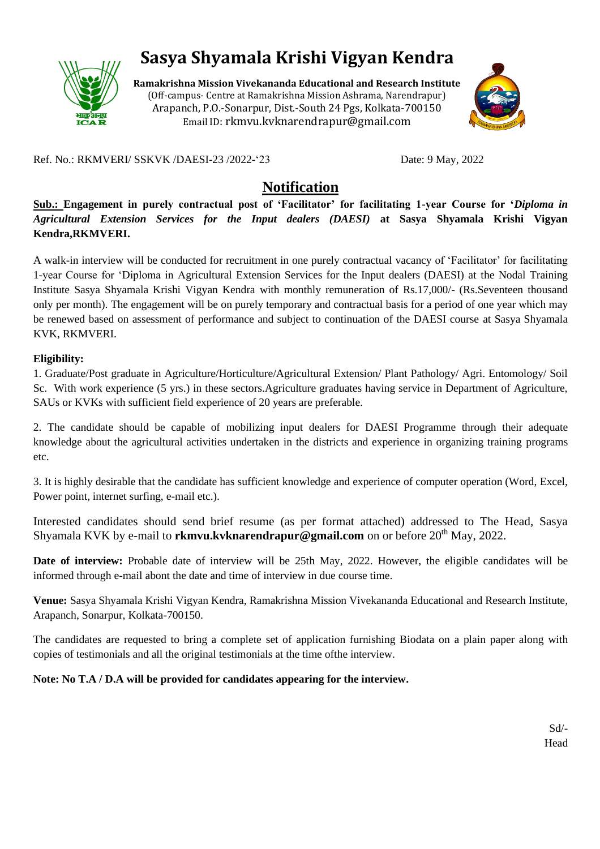

# **Sasya Shyamala Krishi Vigyan Kendra**

**Ramakrishna Mission Vivekananda Educational and Research Institute** (Off-campus- Centre at Ramakrishna Mission Ashrama, Narendrapur) Arapanch, P.O.-Sonarpur, Dist.-South 24 Pgs, Kolkata-700150 Email ID: rkmvu.kvknarendrapur@gmail.com



Ref. No.: RKMVERI/ SSKVK /DAESI-23 /2022-'23 Date: 9 May, 2022

## **Notification**

**Sub.: Engagement in purely contractual post of 'Facilitator' for facilitating 1-year Course for '***Diploma in Agricultural Extension Services for the Input dealers (DAESI)* **at Sasya Shyamala Krishi Vigyan Kendra,RKMVERI.**

A walk-in interview will be conducted for recruitment in one purely contractual vacancy of 'Facilitator' for facilitating 1-year Course for 'Diploma in Agricultural Extension Services for the Input dealers (DAESI) at the Nodal Training Institute Sasya Shyamala Krishi Vigyan Kendra with monthly remuneration of Rs.17,000/- (Rs.Seventeen thousand only per month). The engagement will be on purely temporary and contractual basis for a period of one year which may be renewed based on assessment of performance and subject to continuation of the DAESI course at Sasya Shyamala KVK, RKMVERI.

#### **Eligibility:**

1. Graduate/Post graduate in Agriculture/Horticulture/Agricultural Extension/ Plant Pathology/ Agri. Entomology/ Soil Sc. With work experience (5 yrs.) in these sectors.Agriculture graduates having service in Department of Agriculture, SAUs or KVKs with sufficient field experience of 20 years are preferable.

2. The candidate should be capable of mobilizing input dealers for DAESI Programme through their adequate knowledge about the agricultural activities undertaken in the districts and experience in organizing training programs etc.

3. It is highly desirable that the candidate has sufficient knowledge and experience of computer operation (Word, Excel, Power point, internet surfing, e-mail etc.).

Interested candidates should send brief resume (as per format attached) addressed to The Head, Sasya Shyamala KVK by e-mail to **rkmvu.kvknarendrapur@gmail.com** on or before 20<sup>th</sup> May, 2022.

**Date of interview:** Probable date of interview will be 25th May, 2022. However, the eligible candidates will be informed through e-mail abont the date and time of interview in due course time.

**Venue:** Sasya Shyamala Krishi Vigyan Kendra, Ramakrishna Mission Vivekananda Educational and Research Institute, Arapanch, Sonarpur, Kolkata-700150.

The candidates are requested to bring a complete set of application furnishing Biodata on a plain paper along with copies of testimonials and all the original testimonials at the time ofthe interview.

### **Note: No T.A / D.A will be provided for candidates appearing for the interview.**

Sd/- Head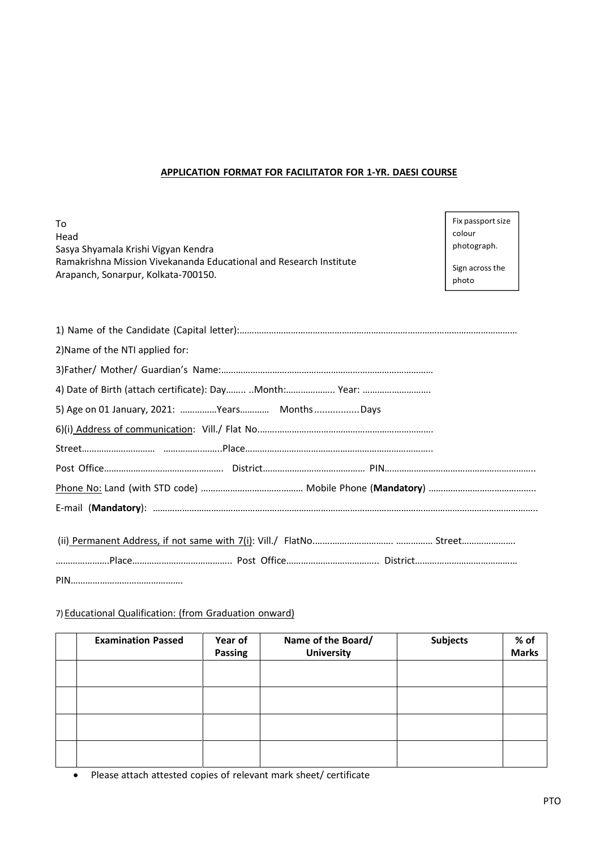### **APPLICATION FORMAT FOR FACILITATOR FOR 1-YR. DAESI COURSE**

| Tο                                                                 |
|--------------------------------------------------------------------|
| Head                                                               |
| Sasya Shyamala Krishi Vigyan Kendra                                |
| Ramakrishna Mission Vivekananda Educational and Research Institute |
| Arapanch, Sonarpur, Kolkata-700150.                                |

Fix passport size colour photograph.

Sign across the photo

| 2) Name of the NTI applied for:              |
|----------------------------------------------|
|                                              |
|                                              |
| 5) Age on 01 January, 2021: Years MonthsDays |
|                                              |
|                                              |
|                                              |
|                                              |
|                                              |
|                                              |
|                                              |

#### 7) Educational Qualification: (from Graduation onward)

| <b>Examination Passed</b> | Year of<br><b>Passing</b> | Name of the Board/<br><b>University</b> | <b>Subjects</b> | % of<br>Marks |
|---------------------------|---------------------------|-----------------------------------------|-----------------|---------------|
|                           |                           |                                         |                 |               |
|                           |                           |                                         |                 |               |
|                           |                           |                                         |                 |               |
|                           |                           |                                         |                 |               |

• Please attach attested copies of relevant mark sheet/ certificate